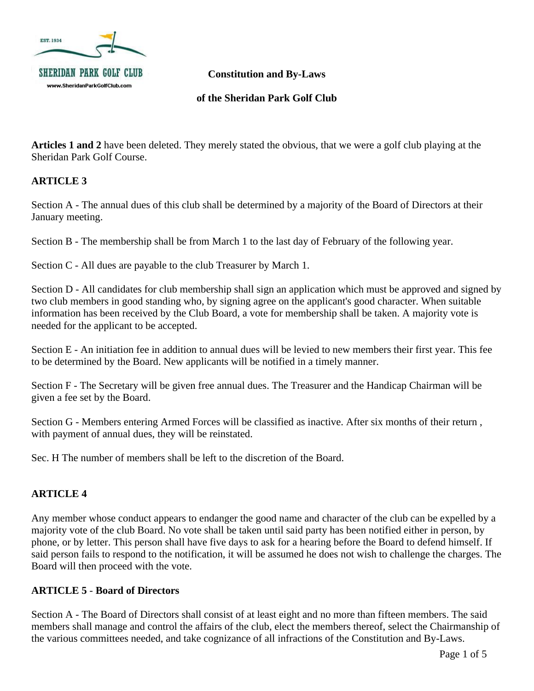

**of the Sheridan Park Golf Club**

**Articles 1 and 2** have been deleted. They merely stated the obvious, that we were a golf club playing at the Sheridan Park Golf Course.

## **ARTICLE 3**

Section A - The annual dues of this club shall be determined by a majority of the Board of Directors at their January meeting.

Section B - The membership shall be from March 1 to the last day of February of the following year.

Section C - All dues are payable to the club Treasurer by March 1.

Section D - All candidates for club membership shall sign an application which must be approved and signed by two club members in good standing who, by signing agree on the applicant's good character. When suitable information has been received by the Club Board, a vote for membership shall be taken. A majority vote is needed for the applicant to be accepted.

Section E - An initiation fee in addition to annual dues will be levied to new members their first year. This fee to be determined by the Board. New applicants will be notified in a timely manner.

Section F - The Secretary will be given free annual dues. The Treasurer and the Handicap Chairman will be given a fee set by the Board.

Section G - Members entering Armed Forces will be classified as inactive. After six months of their return , with payment of annual dues, they will be reinstated.

Sec. H The number of members shall be left to the discretion of the Board.

# **ARTICLE 4**

Any member whose conduct appears to endanger the good name and character of the club can be expelled by a majority vote of the club Board. No vote shall be taken until said party has been notified either in person, by phone, or by letter. This person shall have five days to ask for a hearing before the Board to defend himself. If said person fails to respond to the notification, it will be assumed he does not wish to challenge the charges. The Board will then proceed with the vote.

#### **ARTICLE 5** - **Board of Directors**

Section A - The Board of Directors shall consist of at least eight and no more than fifteen members. The said members shall manage and control the affairs of the club, elect the members thereof, select the Chairmanship of the various committees needed, and take cognizance of all infractions of the Constitution and By-Laws.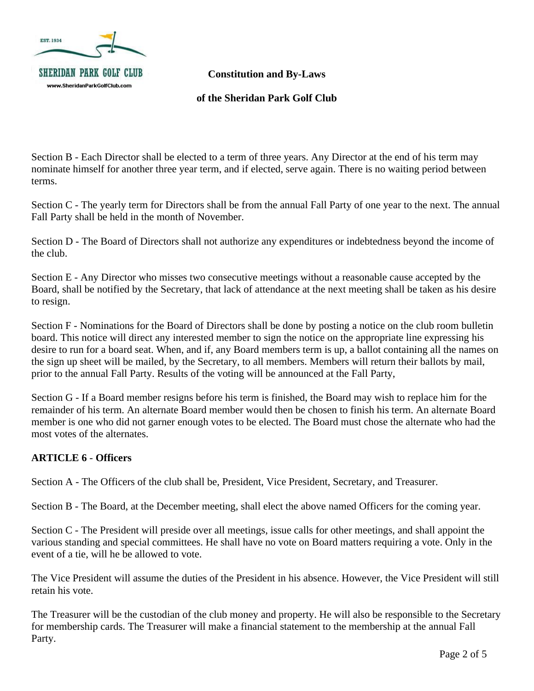

**of the Sheridan Park Golf Club**

Section B - Each Director shall be elected to a term of three years. Any Director at the end of his term may nominate himself for another three year term, and if elected, serve again. There is no waiting period between terms.

Section C - The yearly term for Directors shall be from the annual Fall Party of one year to the next. The annual Fall Party shall be held in the month of November.

Section D - The Board of Directors shall not authorize any expenditures or indebtedness beyond the income of the club.

Section E - Any Director who misses two consecutive meetings without a reasonable cause accepted by the Board, shall be notified by the Secretary, that lack of attendance at the next meeting shall be taken as his desire to resign.

Section F - Nominations for the Board of Directors shall be done by posting a notice on the club room bulletin board. This notice will direct any interested member to sign the notice on the appropriate line expressing his desire to run for a board seat. When, and if, any Board members term is up, a ballot containing all the names on the sign up sheet will be mailed, by the Secretary, to all members. Members will return their ballots by mail, prior to the annual Fall Party. Results of the voting will be announced at the Fall Party,

Section G - If a Board member resigns before his term is finished, the Board may wish to replace him for the remainder of his term. An alternate Board member would then be chosen to finish his term. An alternate Board member is one who did not garner enough votes to be elected. The Board must chose the alternate who had the most votes of the alternates.

# **ARTICLE 6** - **Officers**

Section A - The Officers of the club shall be, President, Vice President, Secretary, and Treasurer.

Section B - The Board, at the December meeting, shall elect the above named Officers for the coming year.

Section C - The President will preside over all meetings, issue calls for other meetings, and shall appoint the various standing and special committees. He shall have no vote on Board matters requiring a vote. Only in the event of a tie, will he be allowed to vote.

The Vice President will assume the duties of the President in his absence. However, the Vice President will still retain his vote.

The Treasurer will be the custodian of the club money and property. He will also be responsible to the Secretary for membership cards. The Treasurer will make a financial statement to the membership at the annual Fall Party.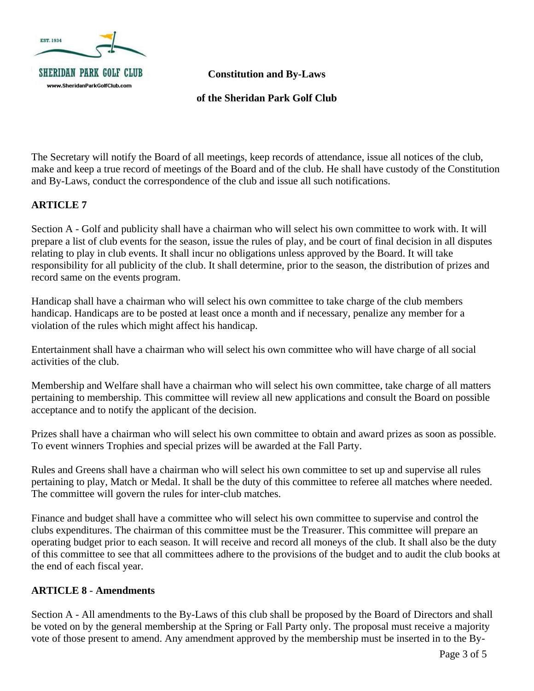

**of the Sheridan Park Golf Club**

The Secretary will notify the Board of all meetings, keep records of attendance, issue all notices of the club, make and keep a true record of meetings of the Board and of the club. He shall have custody of the Constitution and By-Laws, conduct the correspondence of the club and issue all such notifications.

#### **ARTICLE 7**

Section A - Golf and publicity shall have a chairman who will select his own committee to work with. It will prepare a list of club events for the season, issue the rules of play, and be court of final decision in all disputes relating to play in club events. It shall incur no obligations unless approved by the Board. It will take responsibility for all publicity of the club. It shall determine, prior to the season, the distribution of prizes and record same on the events program.

Handicap shall have a chairman who will select his own committee to take charge of the club members handicap. Handicaps are to be posted at least once a month and if necessary, penalize any member for a violation of the rules which might affect his handicap.

Entertainment shall have a chairman who will select his own committee who will have charge of all social activities of the club.

Membership and Welfare shall have a chairman who will select his own committee, take charge of all matters pertaining to membership. This committee will review all new applications and consult the Board on possible acceptance and to notify the applicant of the decision.

Prizes shall have a chairman who will select his own committee to obtain and award prizes as soon as possible. To event winners Trophies and special prizes will be awarded at the Fall Party.

Rules and Greens shall have a chairman who will select his own committee to set up and supervise all rules pertaining to play, Match or Medal. It shall be the duty of this committee to referee all matches where needed. The committee will govern the rules for inter-club matches.

Finance and budget shall have a committee who will select his own committee to supervise and control the clubs expenditures. The chairman of this committee must be the Treasurer. This committee will prepare an operating budget prior to each season. It will receive and record all moneys of the club. It shall also be the duty of this committee to see that all committees adhere to the provisions of the budget and to audit the club books at the end of each fiscal year.

#### **ARTICLE 8** - **Amendments**

Section A - All amendments to the By-Laws of this club shall be proposed by the Board of Directors and shall be voted on by the general membership at the Spring or Fall Party only. The proposal must receive a majority vote of those present to amend. Any amendment approved by the membership must be inserted in to the By-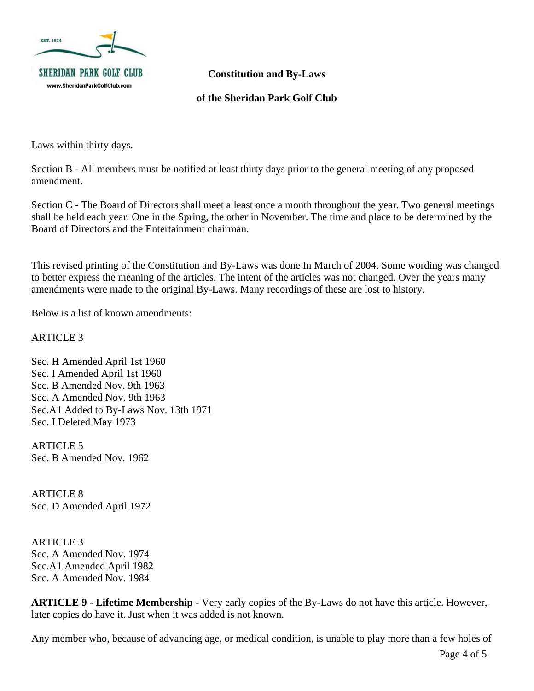

#### **of the Sheridan Park Golf Club**

Laws within thirty days.

Section B - All members must be notified at least thirty days prior to the general meeting of any proposed amendment.

Section C - The Board of Directors shall meet a least once a month throughout the year. Two general meetings shall be held each year. One in the Spring, the other in November. The time and place to be determined by the Board of Directors and the Entertainment chairman.

This revised printing of the Constitution and By-Laws was done In March of 2004. Some wording was changed to better express the meaning of the articles. The intent of the articles was not changed. Over the years many amendments were made to the original By-Laws. Many recordings of these are lost to history.

Below is a list of known amendments:

ARTICLE 3

Sec. H Amended April 1st 1960 Sec. I Amended April 1st 1960 Sec. B Amended Nov. 9th 1963 Sec. A Amended Nov. 9th 1963 Sec.A1 Added to By-Laws Nov. 13th 1971 Sec. I Deleted May 1973

ARTICLE 5 Sec. B Amended Nov. 1962

ARTICLE 8 Sec. D Amended April 1972

ARTICLE 3 Sec. A Amended Nov. 1974 Sec.A1 Amended April 1982 Sec. A Amended Nov. 1984

**ARTICLE 9** - **Lifetime Membership** - Very early copies of the By-Laws do not have this article. However, later copies do have it. Just when it was added is not known.

Any member who, because of advancing age, or medical condition, is unable to play more than a few holes of